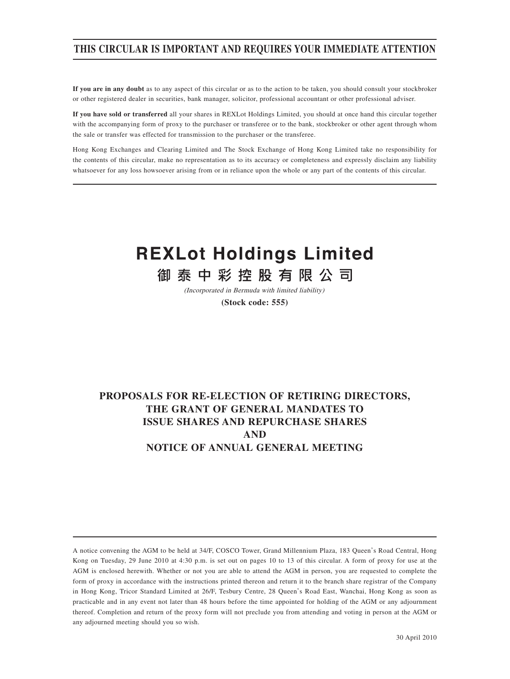#### **THIS CIRCULAR IS IMPORTANT AND REQUIRES YOUR IMMEDIATE ATTENTION**

**If you are in any doubt** as to any aspect of this circular or as to the action to be taken, you should consult your stockbroker or other registered dealer in securities, bank manager, solicitor, professional accountant or other professional adviser.

**If you have sold or transferred** all your shares in REXLot Holdings Limited, you should at once hand this circular together with the accompanying form of proxy to the purchaser or transferee or to the bank, stockbroker or other agent through whom the sale or transfer was effected for transmission to the purchaser or the transferee.

Hong Kong Exchanges and Clearing Limited and The Stock Exchange of Hong Kong Limited take no responsibility for the contents of this circular, make no representation as to its accuracy or completeness and expressly disclaim any liability whatsoever for any loss howsoever arising from or in reliance upon the whole or any part of the contents of this circular.

# **REXLot Holdings Limited**

御泰中彩控股有限公司

(Incorporated in Bermuda with limited liability)

**(Stock code: 555)**

### **PROPOSALS FOR RE-ELECTION OF RETIRING DIRECTORS, THE GRANT OF GENERAL MANDATES TO ISSUE SHARES AND REPURCHASE SHARES AND NOTICE OF ANNUAL GENERAL MEETING**

A notice convening the AGM to be held at 34/F, COSCO Tower, Grand Millennium Plaza, 183 Queen's Road Central, Hong Kong on Tuesday, 29 June 2010 at 4:30 p.m. is set out on pages 10 to 13 of this circular. A form of proxy for use at the AGM is enclosed herewith. Whether or not you are able to attend the AGM in person, you are requested to complete the form of proxy in accordance with the instructions printed thereon and return it to the branch share registrar of the Company in Hong Kong, Tricor Standard Limited at 26/F, Tesbury Centre, 28 Queen's Road East, Wanchai, Hong Kong as soon as practicable and in any event not later than 48 hours before the time appointed for holding of the AGM or any adjournment thereof. Completion and return of the proxy form will not preclude you from attending and voting in person at the AGM or any adjourned meeting should you so wish.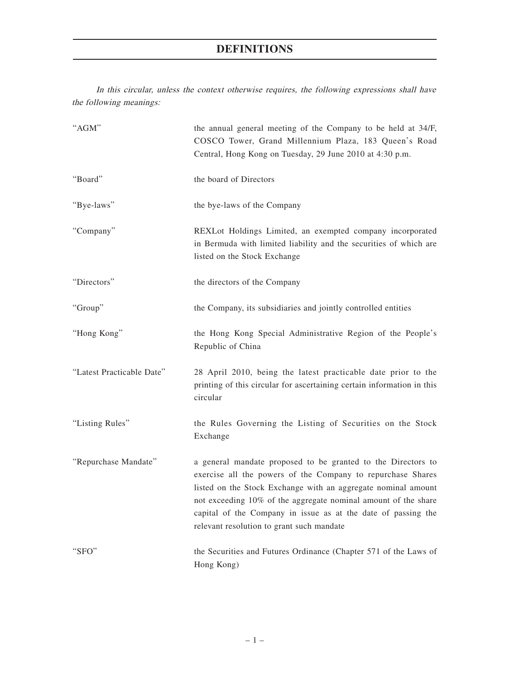## **DEFINITIONS**

In this circular, unless the context otherwise requires, the following expressions shall have the following meanings:

| "AGM"                     | the annual general meeting of the Company to be held at 34/F,<br>COSCO Tower, Grand Millennium Plaza, 183 Queen's Road<br>Central, Hong Kong on Tuesday, 29 June 2010 at 4:30 p.m.                                                                                                                                                                                           |
|---------------------------|------------------------------------------------------------------------------------------------------------------------------------------------------------------------------------------------------------------------------------------------------------------------------------------------------------------------------------------------------------------------------|
| "Board"                   | the board of Directors                                                                                                                                                                                                                                                                                                                                                       |
| "Bye-laws"                | the bye-laws of the Company                                                                                                                                                                                                                                                                                                                                                  |
| "Company"                 | REXLot Holdings Limited, an exempted company incorporated<br>in Bermuda with limited liability and the securities of which are<br>listed on the Stock Exchange                                                                                                                                                                                                               |
| "Directors"               | the directors of the Company                                                                                                                                                                                                                                                                                                                                                 |
| "Group"                   | the Company, its subsidiaries and jointly controlled entities                                                                                                                                                                                                                                                                                                                |
| "Hong Kong"               | the Hong Kong Special Administrative Region of the People's<br>Republic of China                                                                                                                                                                                                                                                                                             |
| "Latest Practicable Date" | 28 April 2010, being the latest practicable date prior to the<br>printing of this circular for ascertaining certain information in this<br>circular                                                                                                                                                                                                                          |
| "Listing Rules"           | the Rules Governing the Listing of Securities on the Stock<br>Exchange                                                                                                                                                                                                                                                                                                       |
| "Repurchase Mandate"      | a general mandate proposed to be granted to the Directors to<br>exercise all the powers of the Company to repurchase Shares<br>listed on the Stock Exchange with an aggregate nominal amount<br>not exceeding 10% of the aggregate nominal amount of the share<br>capital of the Company in issue as at the date of passing the<br>relevant resolution to grant such mandate |
| "SFO"                     | the Securities and Futures Ordinance (Chapter 571 of the Laws of<br>Hong Kong)                                                                                                                                                                                                                                                                                               |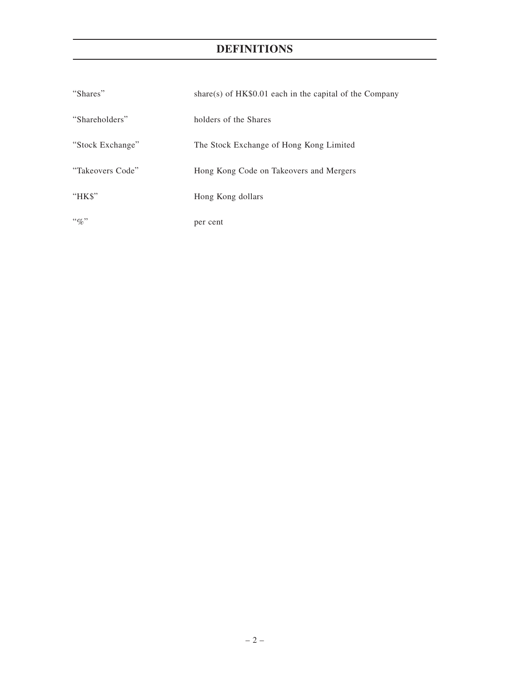## **DEFINITIONS**

| "Shares"         | share(s) of $HK$0.01$ each in the capital of the Company |
|------------------|----------------------------------------------------------|
| "Shareholders"   | holders of the Shares                                    |
| "Stock Exchange" | The Stock Exchange of Hong Kong Limited                  |
| "Takeovers Code" | Hong Kong Code on Takeovers and Mergers                  |
| "HK\$"           | Hong Kong dollars                                        |
| $``\%"$          | per cent                                                 |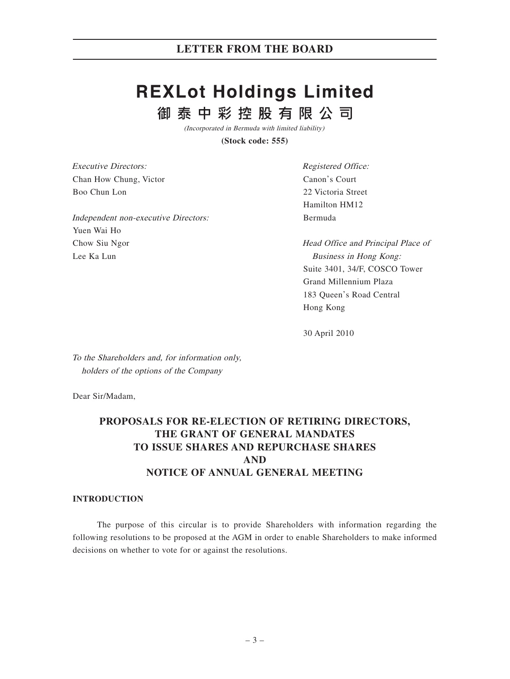#### **LETTER FROM THE BOARD**

## **REXLot Holdings Limited** 御泰中彩控股有限公司

(Incorporated in Bermuda with limited liability) **(Stock code: 555)**

Executive Directors: Chan How Chung, Victor Boo Chun Lon

Independent non-executive Directors: Yuen Wai Ho Chow Siu Ngor Lee Ka Lun

Registered Office: Canon's Court 22 Victoria Street Hamilton HM12 Bermuda

Head Office and Principal Place of Business in Hong Kong: Suite 3401, 34/F, COSCO Tower Grand Millennium Plaza 183 Queen's Road Central Hong Kong

30 April 2010

To the Shareholders and, for information only, holders of the options of the Company

Dear Sir/Madam,

#### **PROPOSALS FOR RE-ELECTION OF RETIRING DIRECTORS, THE GRANT OF GENERAL MANDATES TO ISSUE SHARES AND REPURCHASE SHARES AND NOTICE OF ANNUAL GENERAL MEETING**

#### **INTRODUCTION**

The purpose of this circular is to provide Shareholders with information regarding the following resolutions to be proposed at the AGM in order to enable Shareholders to make informed decisions on whether to vote for or against the resolutions.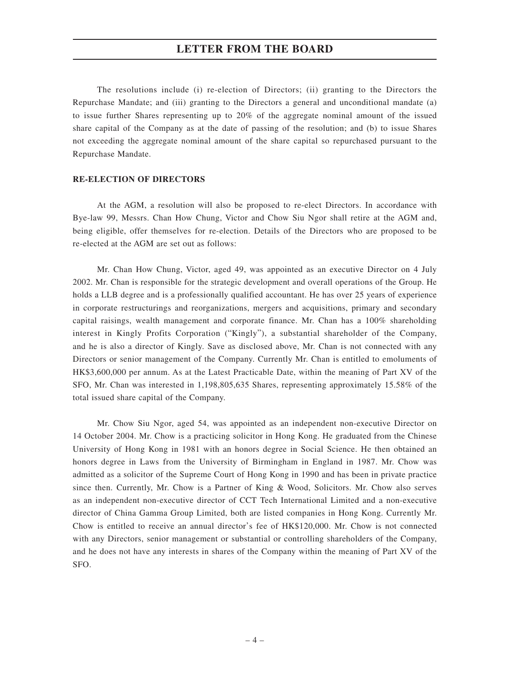The resolutions include (i) re-election of Directors; (ii) granting to the Directors the Repurchase Mandate; and (iii) granting to the Directors a general and unconditional mandate (a) to issue further Shares representing up to 20% of the aggregate nominal amount of the issued share capital of the Company as at the date of passing of the resolution; and (b) to issue Shares not exceeding the aggregate nominal amount of the share capital so repurchased pursuant to the Repurchase Mandate.

#### **RE-ELECTION OF DIRECTORS**

At the AGM, a resolution will also be proposed to re-elect Directors. In accordance with Bye-law 99, Messrs. Chan How Chung, Victor and Chow Siu Ngor shall retire at the AGM and, being eligible, offer themselves for re-election. Details of the Directors who are proposed to be re-elected at the AGM are set out as follows:

Mr. Chan How Chung, Victor, aged 49, was appointed as an executive Director on 4 July 2002. Mr. Chan is responsible for the strategic development and overall operations of the Group. He holds a LLB degree and is a professionally qualified accountant. He has over 25 years of experience in corporate restructurings and reorganizations, mergers and acquisitions, primary and secondary capital raisings, wealth management and corporate finance. Mr. Chan has a 100% shareholding interest in Kingly Profits Corporation ("Kingly"), a substantial shareholder of the Company, and he is also a director of Kingly. Save as disclosed above, Mr. Chan is not connected with any Directors or senior management of the Company. Currently Mr. Chan is entitled to emoluments of HK\$3,600,000 per annum. As at the Latest Practicable Date, within the meaning of Part XV of the SFO, Mr. Chan was interested in 1,198,805,635 Shares, representing approximately 15.58% of the total issued share capital of the Company.

Mr. Chow Siu Ngor, aged 54, was appointed as an independent non-executive Director on 14 October 2004. Mr. Chow is a practicing solicitor in Hong Kong. He graduated from the Chinese University of Hong Kong in 1981 with an honors degree in Social Science. He then obtained an honors degree in Laws from the University of Birmingham in England in 1987. Mr. Chow was admitted as a solicitor of the Supreme Court of Hong Kong in 1990 and has been in private practice since then. Currently, Mr. Chow is a Partner of King & Wood, Solicitors. Mr. Chow also serves as an independent non-executive director of CCT Tech International Limited and a non-executive director of China Gamma Group Limited, both are listed companies in Hong Kong. Currently Mr. Chow is entitled to receive an annual director's fee of HK\$120,000. Mr. Chow is not connected with any Directors, senior management or substantial or controlling shareholders of the Company, and he does not have any interests in shares of the Company within the meaning of Part XV of the SFO.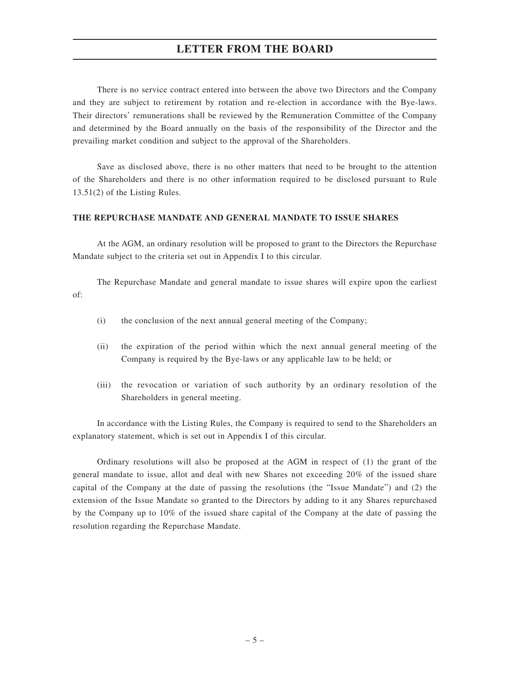#### **LETTER FROM THE BOARD**

There is no service contract entered into between the above two Directors and the Company and they are subject to retirement by rotation and re-election in accordance with the Bye-laws. Their directors' remunerations shall be reviewed by the Remuneration Committee of the Company and determined by the Board annually on the basis of the responsibility of the Director and the prevailing market condition and subject to the approval of the Shareholders.

Save as disclosed above, there is no other matters that need to be brought to the attention of the Shareholders and there is no other information required to be disclosed pursuant to Rule 13.51(2) of the Listing Rules.

#### **THE REPURCHASE MANDATE AND GENERAL MANDATE TO ISSUE SHARES**

At the AGM, an ordinary resolution will be proposed to grant to the Directors the Repurchase Mandate subject to the criteria set out in Appendix I to this circular.

The Repurchase Mandate and general mandate to issue shares will expire upon the earliest of:

- (i) the conclusion of the next annual general meeting of the Company;
- (ii) the expiration of the period within which the next annual general meeting of the Company is required by the Bye-laws or any applicable law to be held; or
- (iii) the revocation or variation of such authority by an ordinary resolution of the Shareholders in general meeting.

In accordance with the Listing Rules, the Company is required to send to the Shareholders an explanatory statement, which is set out in Appendix I of this circular.

Ordinary resolutions will also be proposed at the AGM in respect of (1) the grant of the general mandate to issue, allot and deal with new Shares not exceeding 20% of the issued share capital of the Company at the date of passing the resolutions (the "Issue Mandate") and (2) the extension of the Issue Mandate so granted to the Directors by adding to it any Shares repurchased by the Company up to 10% of the issued share capital of the Company at the date of passing the resolution regarding the Repurchase Mandate.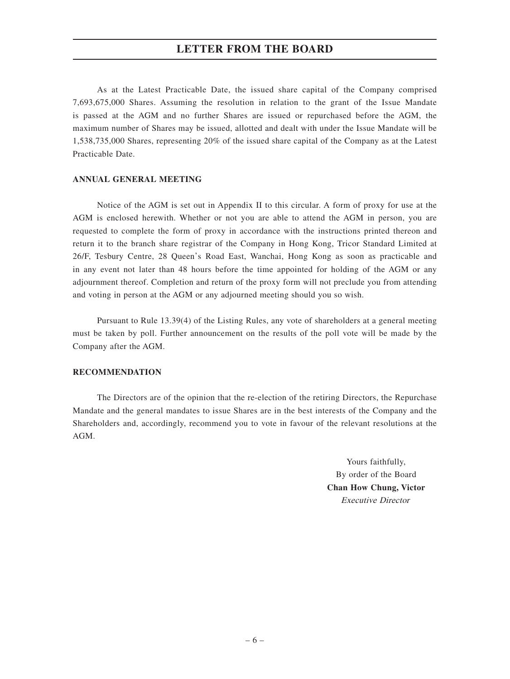As at the Latest Practicable Date, the issued share capital of the Company comprised 7,693,675,000 Shares. Assuming the resolution in relation to the grant of the Issue Mandate is passed at the AGM and no further Shares are issued or repurchased before the AGM, the maximum number of Shares may be issued, allotted and dealt with under the Issue Mandate will be 1,538,735,000 Shares, representing 20% of the issued share capital of the Company as at the Latest Practicable Date.

#### **ANNUAL GENERAL MEETING**

Notice of the AGM is set out in Appendix II to this circular. A form of proxy for use at the AGM is enclosed herewith. Whether or not you are able to attend the AGM in person, you are requested to complete the form of proxy in accordance with the instructions printed thereon and return it to the branch share registrar of the Company in Hong Kong, Tricor Standard Limited at 26/F, Tesbury Centre, 28 Queen's Road East, Wanchai, Hong Kong as soon as practicable and in any event not later than 48 hours before the time appointed for holding of the AGM or any adjournment thereof. Completion and return of the proxy form will not preclude you from attending and voting in person at the AGM or any adjourned meeting should you so wish.

Pursuant to Rule 13.39(4) of the Listing Rules, any vote of shareholders at a general meeting must be taken by poll. Further announcement on the results of the poll vote will be made by the Company after the AGM.

#### **RECOMMENDATION**

The Directors are of the opinion that the re-election of the retiring Directors, the Repurchase Mandate and the general mandates to issue Shares are in the best interests of the Company and the Shareholders and, accordingly, recommend you to vote in favour of the relevant resolutions at the AGM.

> Yours faithfully, By order of the Board **Chan How Chung, Victor** Executive Director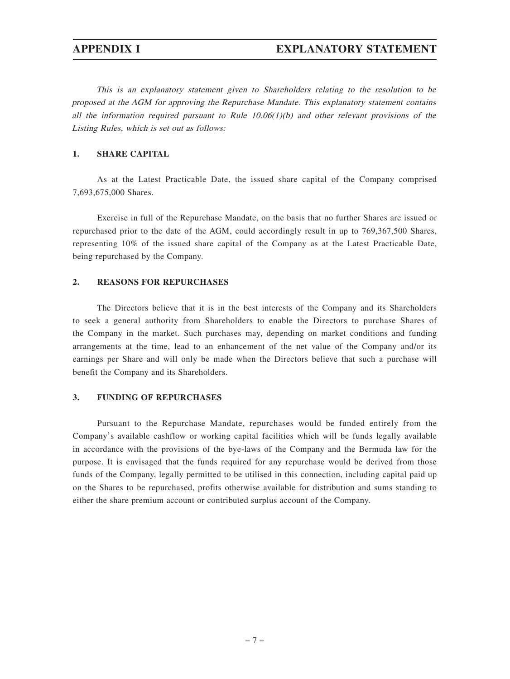This is an explanatory statement given to Shareholders relating to the resolution to be proposed at the AGM for approving the Repurchase Mandate. This explanatory statement contains all the information required pursuant to Rule  $10.06(1)(b)$  and other relevant provisions of the Listing Rules, which is set out as follows:

#### **1. SHARE CAPITAL**

As at the Latest Practicable Date, the issued share capital of the Company comprised 7,693,675,000 Shares.

Exercise in full of the Repurchase Mandate, on the basis that no further Shares are issued or repurchased prior to the date of the AGM, could accordingly result in up to 769,367,500 Shares, representing 10% of the issued share capital of the Company as at the Latest Practicable Date, being repurchased by the Company.

#### **2. REASONS FOR REPURCHASES**

The Directors believe that it is in the best interests of the Company and its Shareholders to seek a general authority from Shareholders to enable the Directors to purchase Shares of the Company in the market. Such purchases may, depending on market conditions and funding arrangements at the time, lead to an enhancement of the net value of the Company and/or its earnings per Share and will only be made when the Directors believe that such a purchase will benefit the Company and its Shareholders.

#### **3. FUNDING OF REPURCHASES**

Pursuant to the Repurchase Mandate, repurchases would be funded entirely from the Company's available cashflow or working capital facilities which will be funds legally available in accordance with the provisions of the bye-laws of the Company and the Bermuda law for the purpose. It is envisaged that the funds required for any repurchase would be derived from those funds of the Company, legally permitted to be utilised in this connection, including capital paid up on the Shares to be repurchased, profits otherwise available for distribution and sums standing to either the share premium account or contributed surplus account of the Company.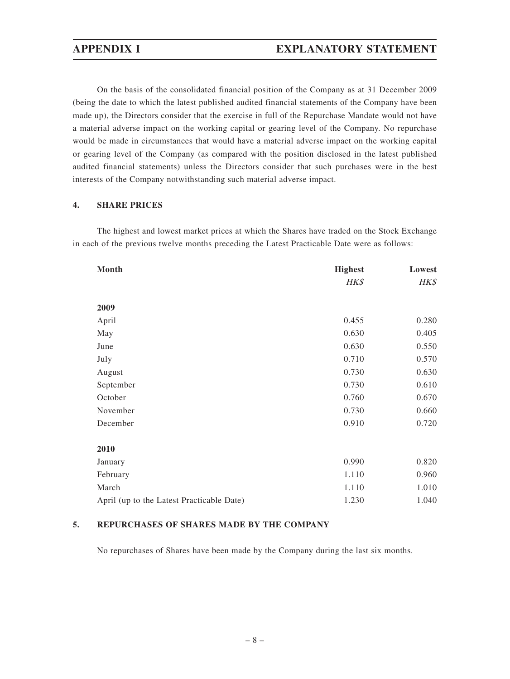On the basis of the consolidated financial position of the Company as at 31 December 2009 (being the date to which the latest published audited financial statements of the Company have been made up), the Directors consider that the exercise in full of the Repurchase Mandate would not have a material adverse impact on the working capital or gearing level of the Company. No repurchase would be made in circumstances that would have a material adverse impact on the working capital or gearing level of the Company (as compared with the position disclosed in the latest published audited financial statements) unless the Directors consider that such purchases were in the best interests of the Company notwithstanding such material adverse impact.

#### **4. SHARE PRICES**

The highest and lowest market prices at which the Shares have traded on the Stock Exchange in each of the previous twelve months preceding the Latest Practicable Date were as follows:

| Month                                     | <b>Highest</b> | Lowest |
|-------------------------------------------|----------------|--------|
|                                           | HK\$           | HK\$   |
|                                           |                |        |
| 2009                                      |                |        |
| April                                     | 0.455          | 0.280  |
| May                                       | 0.630          | 0.405  |
| June                                      | 0.630          | 0.550  |
| July                                      | 0.710          | 0.570  |
| August                                    | 0.730          | 0.630  |
| September                                 | 0.730          | 0.610  |
| October                                   | 0.760          | 0.670  |
| November                                  | 0.730          | 0.660  |
| December                                  | 0.910          | 0.720  |
|                                           |                |        |
| 2010                                      |                |        |
| January                                   | 0.990          | 0.820  |
| February                                  | 1.110          | 0.960  |
| March                                     | 1.110          | 1.010  |
| April (up to the Latest Practicable Date) | 1.230          | 1.040  |

#### **5. REPURCHASES OF SHARES MADE BY THE COMPANY**

No repurchases of Shares have been made by the Company during the last six months.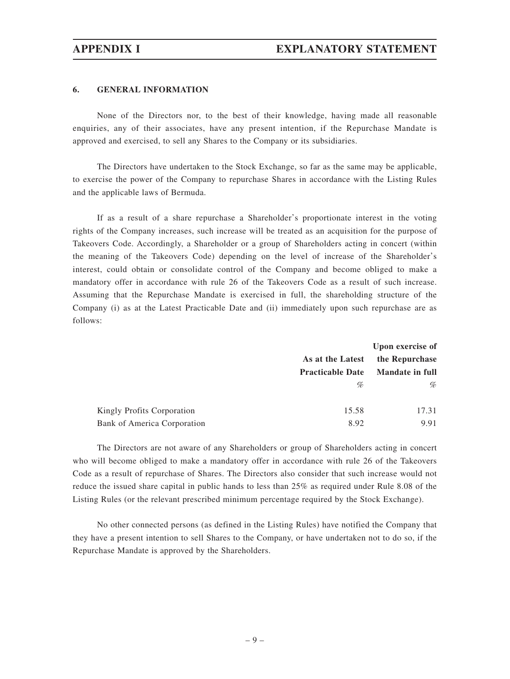#### **6. GENERAL INFORMATION**

None of the Directors nor, to the best of their knowledge, having made all reasonable enquiries, any of their associates, have any present intention, if the Repurchase Mandate is approved and exercised, to sell any Shares to the Company or its subsidiaries.

The Directors have undertaken to the Stock Exchange, so far as the same may be applicable, to exercise the power of the Company to repurchase Shares in accordance with the Listing Rules and the applicable laws of Bermuda.

If as a result of a share repurchase a Shareholder's proportionate interest in the voting rights of the Company increases, such increase will be treated as an acquisition for the purpose of Takeovers Code. Accordingly, a Shareholder or a group of Shareholders acting in concert (within the meaning of the Takeovers Code) depending on the level of increase of the Shareholder's interest, could obtain or consolidate control of the Company and become obliged to make a mandatory offer in accordance with rule 26 of the Takeovers Code as a result of such increase. Assuming that the Repurchase Mandate is exercised in full, the shareholding structure of the Company (i) as at the Latest Practicable Date and (ii) immediately upon such repurchase are as follows:

|                             | Upon exercise of        |                        |  |
|-----------------------------|-------------------------|------------------------|--|
|                             | As at the Latest        | the Repurchase         |  |
|                             | <b>Practicable Date</b> | <b>Mandate in full</b> |  |
|                             | %                       | %                      |  |
| Kingly Profits Corporation  | 15.58                   | 17.31                  |  |
| Bank of America Corporation | 8.92                    | 9.91                   |  |

The Directors are not aware of any Shareholders or group of Shareholders acting in concert who will become obliged to make a mandatory offer in accordance with rule 26 of the Takeovers Code as a result of repurchase of Shares. The Directors also consider that such increase would not reduce the issued share capital in public hands to less than 25% as required under Rule 8.08 of the Listing Rules (or the relevant prescribed minimum percentage required by the Stock Exchange).

No other connected persons (as defined in the Listing Rules) have notified the Company that they have a present intention to sell Shares to the Company, or have undertaken not to do so, if the Repurchase Mandate is approved by the Shareholders.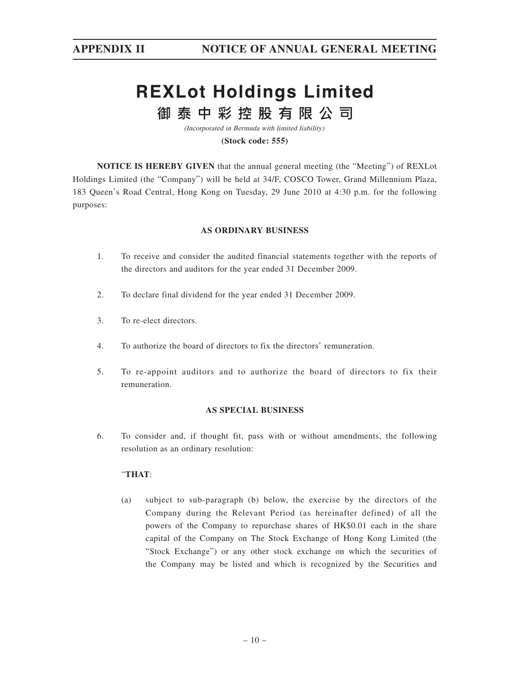# **REXLot Holdings Limited**

御泰中彩控股有限公司

(Incorporated in Bermuda with limited liability) **(Stock code: 555)**

**NOTICE IS HEREBY GIVEN** that the annual general meeting (the "Meeting") of REXLot Holdings Limited (the "Company") will be held at 34/F, COSCO Tower, Grand Millennium Plaza, 183 Queen's Road Central, Hong Kong on Tuesday, 29 June 2010 at 4:30 p.m. for the following purposes:

#### **AS ORDINARY BUSINESS**

- 1. To receive and consider the audited financial statements together with the reports of the directors and auditors for the year ended 31 December 2009.
- 2. To declare final dividend for the year ended 31 December 2009.
- 3. To re-elect directors.
- 4. To authorize the board of directors to fix the directors' remuneration.
- 5. To re-appoint auditors and to authorize the board of directors to fix their remuneration.

#### **AS SPECIAL BUSINESS**

6. To consider and, if thought fit, pass with or without amendments, the following resolution as an ordinary resolution:

#### "**THAT**:

(a) subject to sub-paragraph (b) below, the exercise by the directors of the Company during the Relevant Period (as hereinafter defined) of all the powers of the Company to repurchase shares of HK\$0.01 each in the share capital of the Company on The Stock Exchange of Hong Kong Limited (the "Stock Exchange") or any other stock exchange on which the securities of the Company may be listed and which is recognized by the Securities and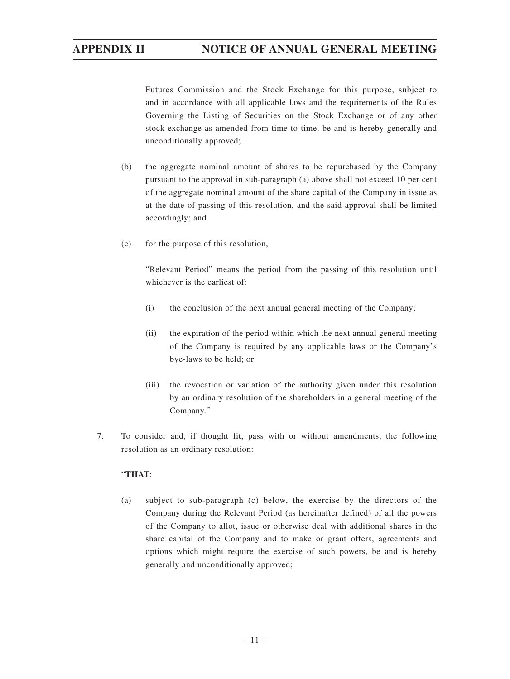Futures Commission and the Stock Exchange for this purpose, subject to and in accordance with all applicable laws and the requirements of the Rules Governing the Listing of Securities on the Stock Exchange or of any other stock exchange as amended from time to time, be and is hereby generally and unconditionally approved;

- (b) the aggregate nominal amount of shares to be repurchased by the Company pursuant to the approval in sub-paragraph (a) above shall not exceed 10 per cent of the aggregate nominal amount of the share capital of the Company in issue as at the date of passing of this resolution, and the said approval shall be limited accordingly; and
- (c) for the purpose of this resolution,

"Relevant Period" means the period from the passing of this resolution until whichever is the earliest of:

- (i) the conclusion of the next annual general meeting of the Company;
- (ii) the expiration of the period within which the next annual general meeting of the Company is required by any applicable laws or the Company's bye-laws to be held; or
- (iii) the revocation or variation of the authority given under this resolution by an ordinary resolution of the shareholders in a general meeting of the Company."
- 7. To consider and, if thought fit, pass with or without amendments, the following resolution as an ordinary resolution:

#### "**THAT**:

(a) subject to sub-paragraph (c) below, the exercise by the directors of the Company during the Relevant Period (as hereinafter defined) of all the powers of the Company to allot, issue or otherwise deal with additional shares in the share capital of the Company and to make or grant offers, agreements and options which might require the exercise of such powers, be and is hereby generally and unconditionally approved;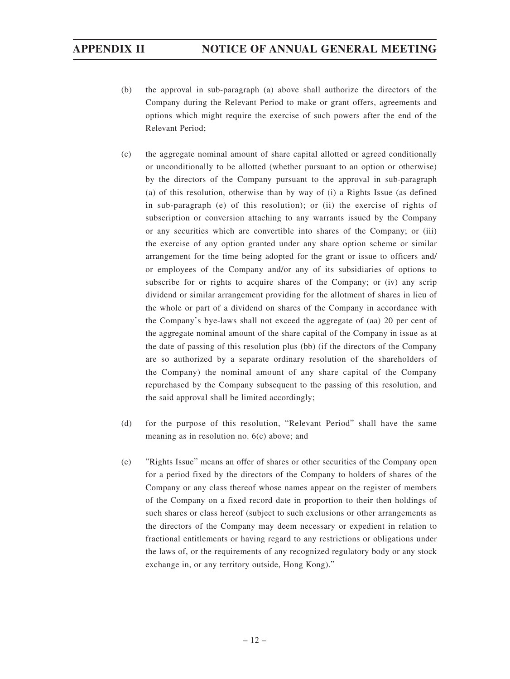- (b) the approval in sub-paragraph (a) above shall authorize the directors of the Company during the Relevant Period to make or grant offers, agreements and options which might require the exercise of such powers after the end of the Relevant Period;
- (c) the aggregate nominal amount of share capital allotted or agreed conditionally or unconditionally to be allotted (whether pursuant to an option or otherwise) by the directors of the Company pursuant to the approval in sub-paragraph (a) of this resolution, otherwise than by way of (i) a Rights Issue (as defined in sub-paragraph (e) of this resolution); or (ii) the exercise of rights of subscription or conversion attaching to any warrants issued by the Company or any securities which are convertible into shares of the Company; or (iii) the exercise of any option granted under any share option scheme or similar arrangement for the time being adopted for the grant or issue to officers and/ or employees of the Company and/or any of its subsidiaries of options to subscribe for or rights to acquire shares of the Company; or (iv) any scrip dividend or similar arrangement providing for the allotment of shares in lieu of the whole or part of a dividend on shares of the Company in accordance with the Company's bye-laws shall not exceed the aggregate of (aa) 20 per cent of the aggregate nominal amount of the share capital of the Company in issue as at the date of passing of this resolution plus (bb) (if the directors of the Company are so authorized by a separate ordinary resolution of the shareholders of the Company) the nominal amount of any share capital of the Company repurchased by the Company subsequent to the passing of this resolution, and the said approval shall be limited accordingly;
- (d) for the purpose of this resolution, "Relevant Period" shall have the same meaning as in resolution no. 6(c) above; and
- (e) "Rights Issue" means an offer of shares or other securities of the Company open for a period fixed by the directors of the Company to holders of shares of the Company or any class thereof whose names appear on the register of members of the Company on a fixed record date in proportion to their then holdings of such shares or class hereof (subject to such exclusions or other arrangements as the directors of the Company may deem necessary or expedient in relation to fractional entitlements or having regard to any restrictions or obligations under the laws of, or the requirements of any recognized regulatory body or any stock exchange in, or any territory outside, Hong Kong)."